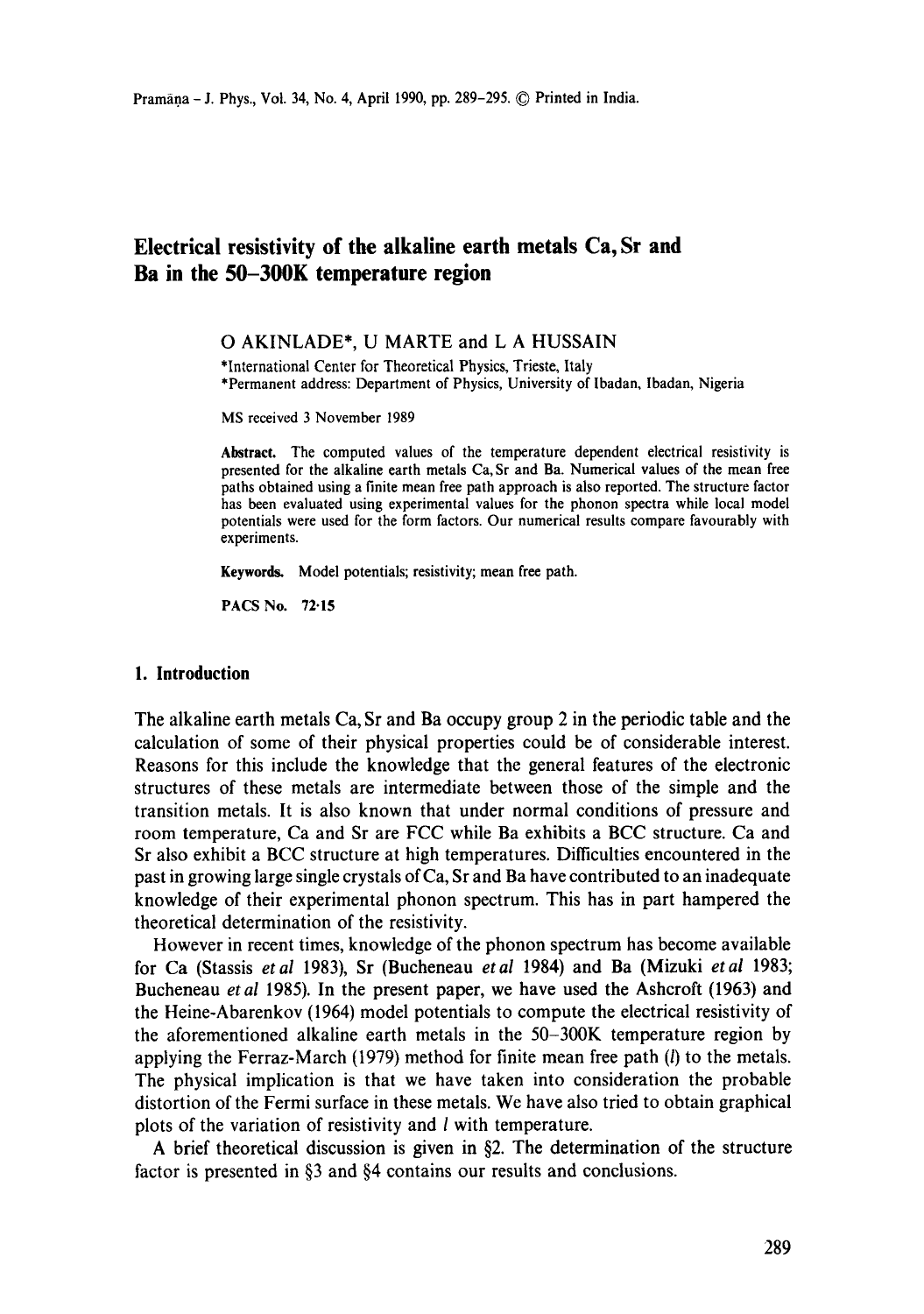# **Electrical resistivity of the alkaline earth metals Ca, Sr and Ba in the 50-300K temperature region**

### O AKINLADE\*, U MARTE and L A HUSSAIN

\*International Center for Theoretical Physics, Trieste, Italy \*Permanent address: Department of Physics, University of Ibadan, Ibadan, Nigeria

MS received 3 November 1989

**Abstract.** The computed values of the temperature dependent electrical resistivity is presented for the alkaline earth metals Ca, Sr and Ba. Numerical values of the mean free paths obtained using a finite mean free path approach is also reported. The structure factor has been evaluated using experimental values for the phonon spectra while local model potentials were used for the form factors. Our numerical results compare favourably with experiments.

Keywords. Model potentials; resistivity; mean free path.

PACS No. 72.15

## **1. Introduction**

The alkaline earth metals Ca, Sr and Ba occupy group 2 in the periodic table and the calculation of some of their physical properties could be of considerable interest. Reasons for this include the knowledge that the general features of the electronic structures of these metals are intermediate between those of the simple and the transition metals. It is also known that under normal conditions of pressure and room temperature, Ca and Sr are FCC while Ba exhibits a BCC structure. Ca and Sr also exhibit a BCC structure at high temperatures. Difficulties encountered in the past in growing large single crystals of Ca, Sr and Ba have contributed to an inadequate knowledge of their experimental phonon spectrum. This has in part hampered the theoretical determination of the resistivity.

However in recent times, knowledge of the phonon spectrum has become available for Ca (Stassis *etal* 1983), Sr (Bucheneau *etal* 1984) and Ba (Mizuki *etal* 1983; Bucheneau *etal* 1985). In the present paper, we have used the Ashcroft (1963) and the Heine-Abarenkov (1964) model potentials to compute the electrical resistivity of the aforementioned alkaline earth metals in the 50-300K temperature region by applying the Ferraz-March  $(1979)$  method for finite mean free path  $(l)$  to the metals. The physical implication is that we have taken into consideration the probable distortion of the Fermi surface in these metals. We have also tried to obtain graphical plots of the variation of resistivity and I with temperature.

A brief theoretical discussion is given in §2. The determination of the structure factor is presented in §3 and §4 contains our results and conclusions.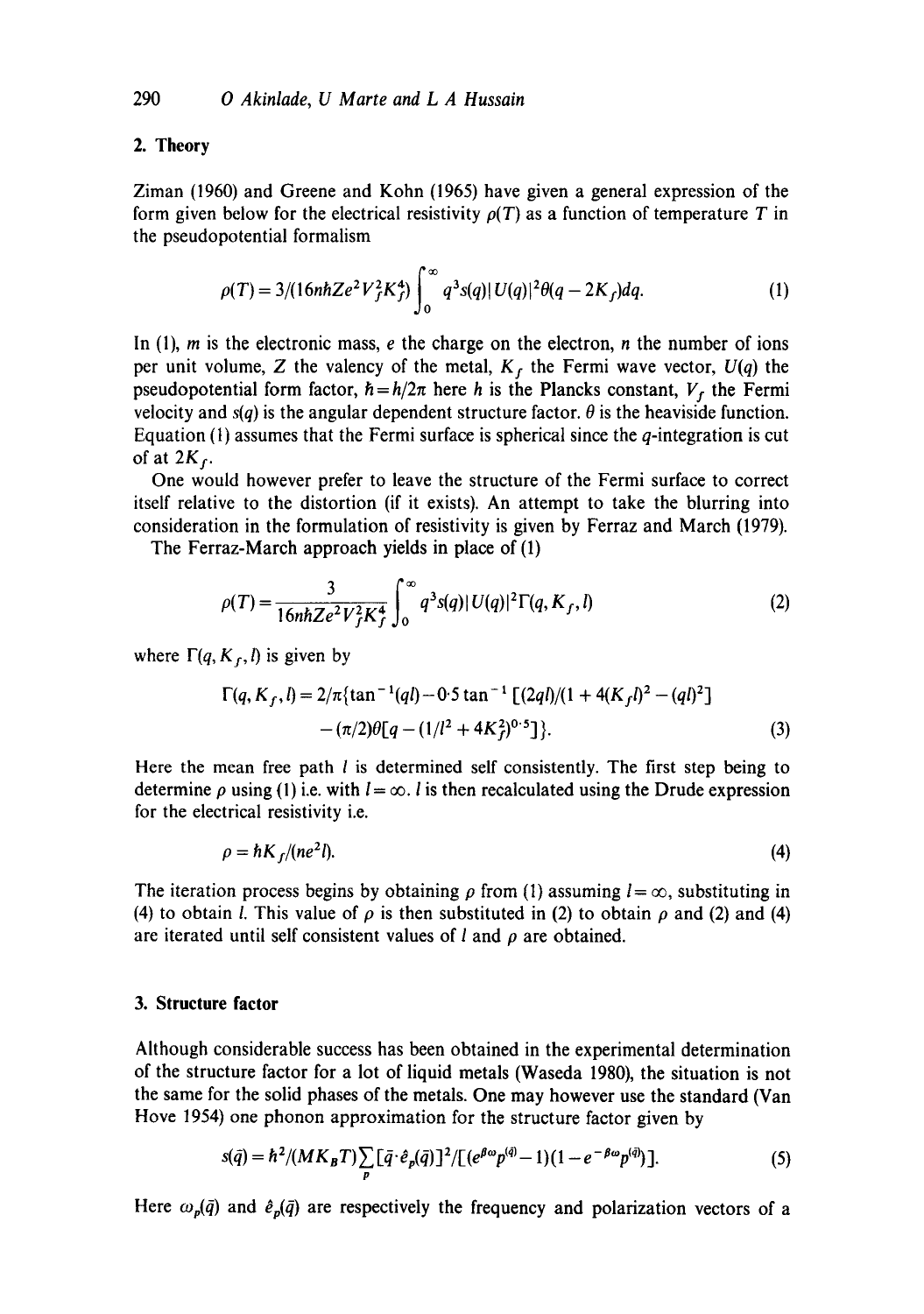## 2. **Theory**

Ziman (1960) and Greene and Kohn (1965) have given a general expression of the form given below for the electrical resistivity  $\rho(T)$  as a function of temperature T in the pseudopotential formalism

$$
\rho(T) = 3/(16nhZe^2V_f^2K_f^4) \int_0^\infty q^3s(q)|U(q)|^2\theta(q-2K_f)dq.
$$
 (1)

In  $(1)$ , m is the electronic mass, e the charge on the electron, n the number of ions per unit volume, Z the valency of the metal,  $K_f$  the Fermi wave vector,  $U(q)$  the pseudopotential form factor,  $\hbar = h/2\pi$  here h is the Plancks constant,  $V_f$  the Fermi velocity and  $s(q)$  is the angular dependent structure factor.  $\theta$  is the heaviside function. Equation (1) assumes that the Fermi surface is spherical since the  $q$ -integration is cut of at  $2K_f$ .

One would however prefer to leave the structure of the Fermi surface to correct itself relative to the distortion (if it exists). An attempt to take the blurring into consideration in the formulation of resistivity is given by Ferraz and March (1979).

The Ferraz-March approach yields in place of (1)

$$
\rho(T) = \frac{3}{16n\hbar Z e^2 V_f^2 K_f^4} \int_0^\infty q^3 s(q) |U(q)|^2 \Gamma(q, K_f, l)
$$
 (2)

where  $\Gamma(q, K_f, l)$  is given by

$$
\Gamma(q, K_f, l) = 2/\pi \{ \tan^{-1}(ql) - 0.5 \tan^{-1} \left[ \frac{2ql}{(1 + 4(K_f l)^2 - (ql)^2)} - (\pi/2)\theta\left[q - \frac{1}{l^2 + 4K_f^2}\right]^{0.5} \right\}.
$$
\n(3)

Here the mean free path  $l$  is determined self consistently. The first step being to determine  $\rho$  using (1) i.e. with  $l = \infty$ . I is then recalculated using the Drude expression for the electrical resistivity i.e.

$$
\rho = \hbar K_f / (ne^2 l). \tag{4}
$$

The iteration process begins by obtaining  $\rho$  from (1) assuming  $l = \infty$ , substituting in (4) to obtain *l*. This value of  $\rho$  is then substituted in (2) to obtain  $\rho$  and (2) and (4) are iterated until self consistent values of  $l$  and  $\rho$  are obtained.

### **3. Structure factor**

Although considerable success has been obtained in the experimental determination of the structure factor for a lot of liquid metals (Waseda 1980), the situation is not the same for the solid phases of the metals. One may however use the standard (Van Hove 1954) one phonon approximation for the structure factor given by

$$
s(\bar{q}) = \hbar^2 / (MK_B T) \sum_p \left[ \bar{q} \cdot \hat{e}_p(\bar{q}) \right]^2 / \left[ \left( e^{\beta \omega} p^{(\bar{q})} - 1 \right) \left( 1 - e^{-\beta \omega} p^{(\bar{q})} \right) \right]. \tag{5}
$$

Here  $\omega_p(\bar{q})$  and  $\hat{e}_p(\bar{q})$  are respectively the frequency and polarization vectors of a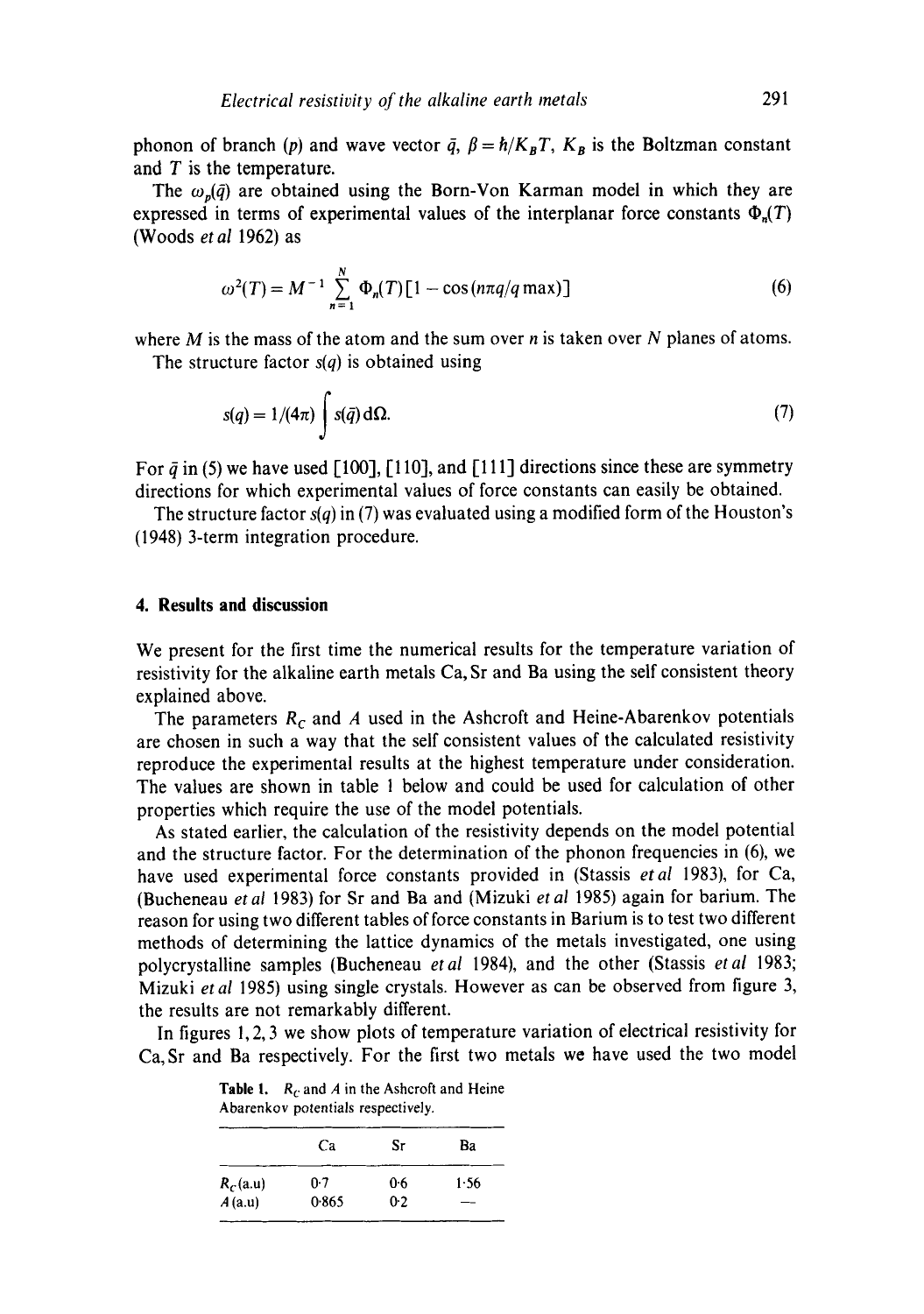phonon of branch (p) and wave vector  $\bar{q}$ ,  $\beta = \hbar / K_B T$ ,  $K_B$  is the Boltzman constant and  $T$  is the temperature.

The  $\omega_n(\tilde{q})$  are obtained using the Born-Von Karman model in which they are expressed in terms of experimental values of the interplanar force constants  $\Phi_n(T)$ (Woods *et al* 1962) as

$$
\omega^2(T) = M^{-1} \sum_{n=1}^{N} \Phi_n(T) [1 - \cos(n\pi q/q \max)]
$$
 (6)

where  $M$  is the mass of the atom and the sum over  $n$  is taken over  $N$  planes of atoms. The structure factor *s(q)* is obtained using

$$
s(q) = 1/(4\pi) \int s(\bar{q}) d\Omega.
$$
 (7)

For  $\bar{q}$  in (5) we have used [100], [110], and [111] directions since these are symmetry directions for which experimental values of force constants can easily be obtained.

The structure factor *s(q)* in (7) was evaluated using a modified form of the Houston's (1948) 3-term integration procedure.

### **4. Results and discussion**

We present for the first time the numerical results for the temperature variation of resistivity for the alkaline earth metals Ca, Sr and Ba using the self consistent theory explained above.

The parameters  $R_c$  and A used in the Ashcroft and Heine-Abarenkov potentials are chosen in such a way that the self consistent values of the calculated resistivity reproduce the experimental results at the highest temperature under consideration. The values are shown in table 1 below and could be used for calculation of other properties which require the use of the model potentials.

As stated earlier, the calculation of the resistivity depends on the model potential and the structure factor. For the determination of the phonon frequencies in (6), we have used experimental force constants provided in (Stassis *etal* 1983), for Ca, (Bucheneau *etal* 1983) for Sr and Ba and (Mizuki *etal* 1985) again for barium. The reason for using two different tables of force constants in Barium is to test two different methods of determining the lattice dynamics of the metals investigated, one using polycrystalline samples (Bucheneau *etal* 1984), and the other (Stassis *etal* 1983; Mizuki *et al* 1985) using single crystals. However as can be observed from figure 3, the results are not remarkably different.

In figures 1,2, 3 we show plots of temperature variation of electrical resistivity for Ca, Sr and Ba respectively. For the first two metals we have used the two model

Ca Sr Ba  $R_c$ (a.u) 0.7 0.6 1.56  $A$ (a.u) 0.865 0.2 --

| <b>Table 1.</b> $R_c$ and A in the Ashcroft and Heine |  |
|-------------------------------------------------------|--|
| Abarenkov potentials respectively.                    |  |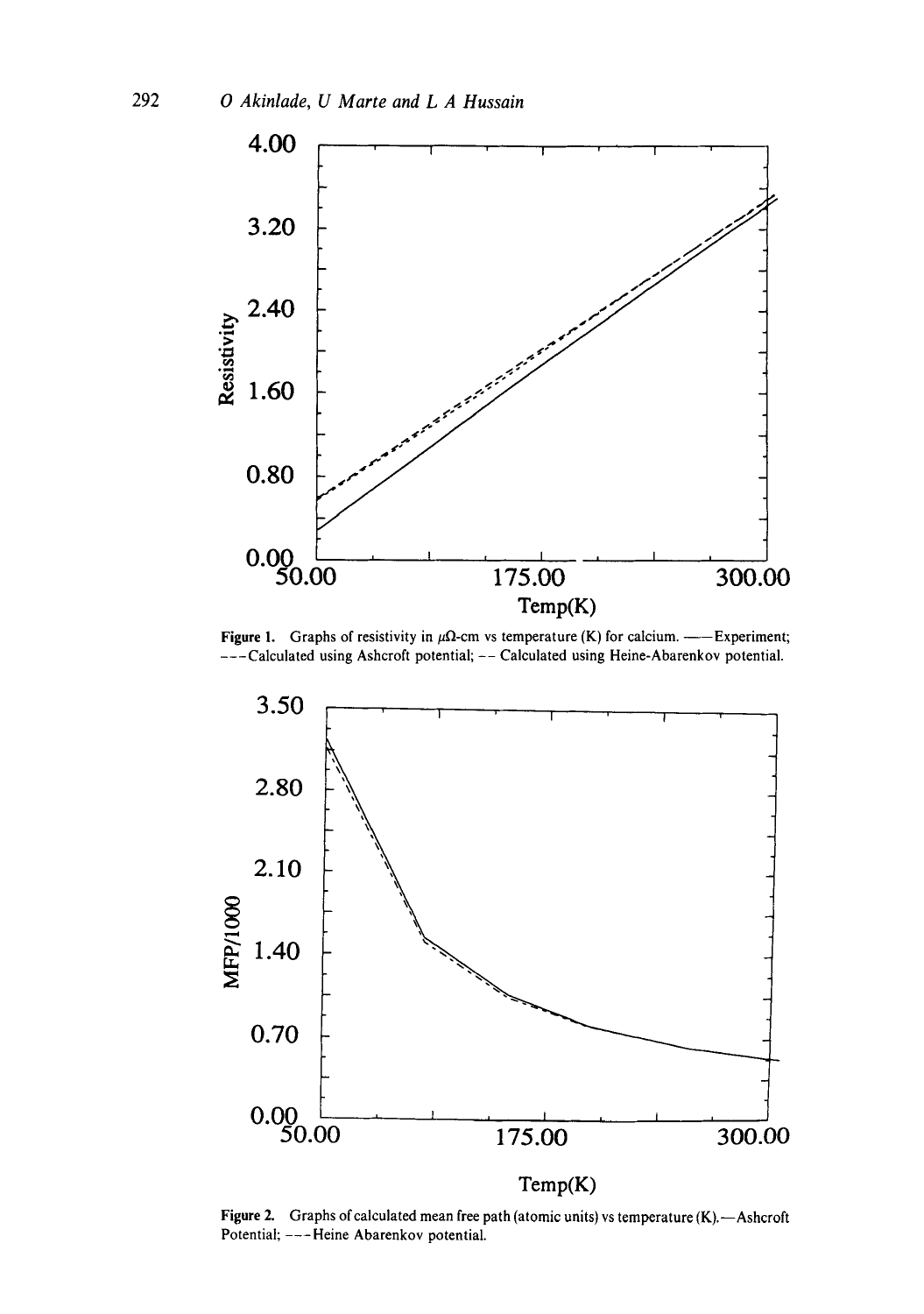

Figure 1. Graphs of resistivity in  $\mu\Omega$ -cm vs temperature (K) for calcium. ——Experiment; ---Calculated using Ashcroft potential; -- Calculated using Heine-Abarenkov potential.



Figure 2. Graphs of calculated mean free path (atomic units) vs temperature (K). - Ashcroft Potential; ---Heine Abarenkov potential.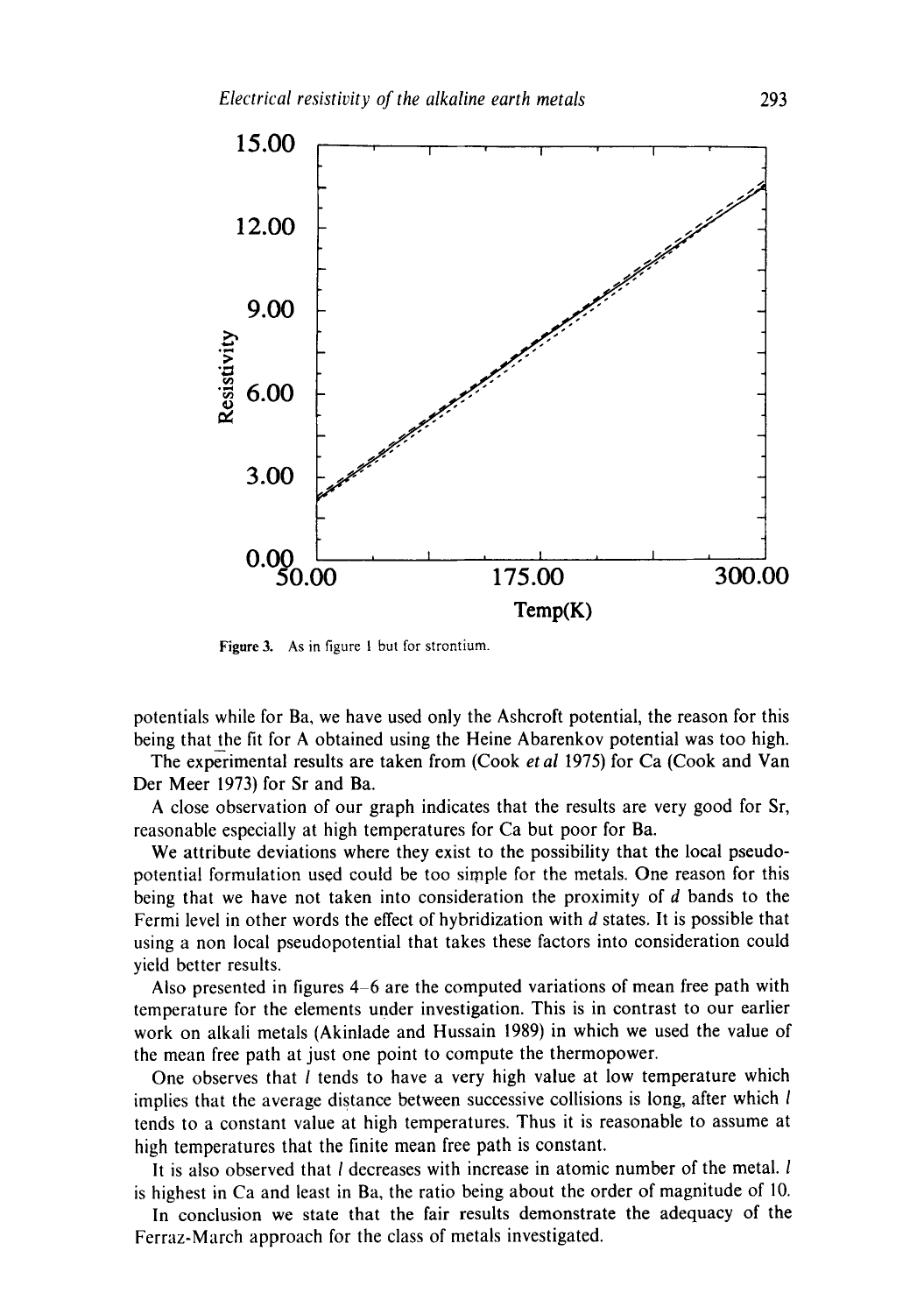

Figure 3. As in figure I but for strontium.

potentials while for Ba, we have used only the Ashcroft potential, the reason for this being that the fit for A obtained using the Heine Abarenkov potential was too high.

The experimental results are taken from (Cook *et al* 1975) for Ca (Cook and Van Der Meer 1973) for Sr and Ba.

A close observation of our graph indicates that the results are very good for Sr, reasonable especially at high temperatures for Ca but poor for Ba.

We attribute deviations where they exist to the possibility that the local pseudopotential formulation used could be too simple for the metals. One reason for this being that we have not taken into consideration the proximity of d bands to the Fermi level in other words the effect of hybridization with d states. It is possible that using a non local pseudopotential that takes these factors into consideration could yield better results.

Also presented in figures 4-6 are the computed variations of mean free path with temperature for the elements under investigation. This is in contrast to our earlier work on alkali metals (Akinlade and Hussain 1989) in which we used the value of the mean free path at just one point to compute the thermopower.

One observes that *l* tends to have a very high value at low temperature which implies that the average distance between successive collisions is long, after which l tends to a constant value at high temperatures. Thus it is reasonable to assume at high temperatures that the finite mean free path is constant.

It is also observed that  $l$  decreases with increase in atomic number of the metal.  $l$ is highest in Ca and least in Ba, the ratio being about the order of magnitude of 10.

In conclusion we state that the fair results demonstrate the adequacy of the Ferraz-March approach for the class of metals investigated.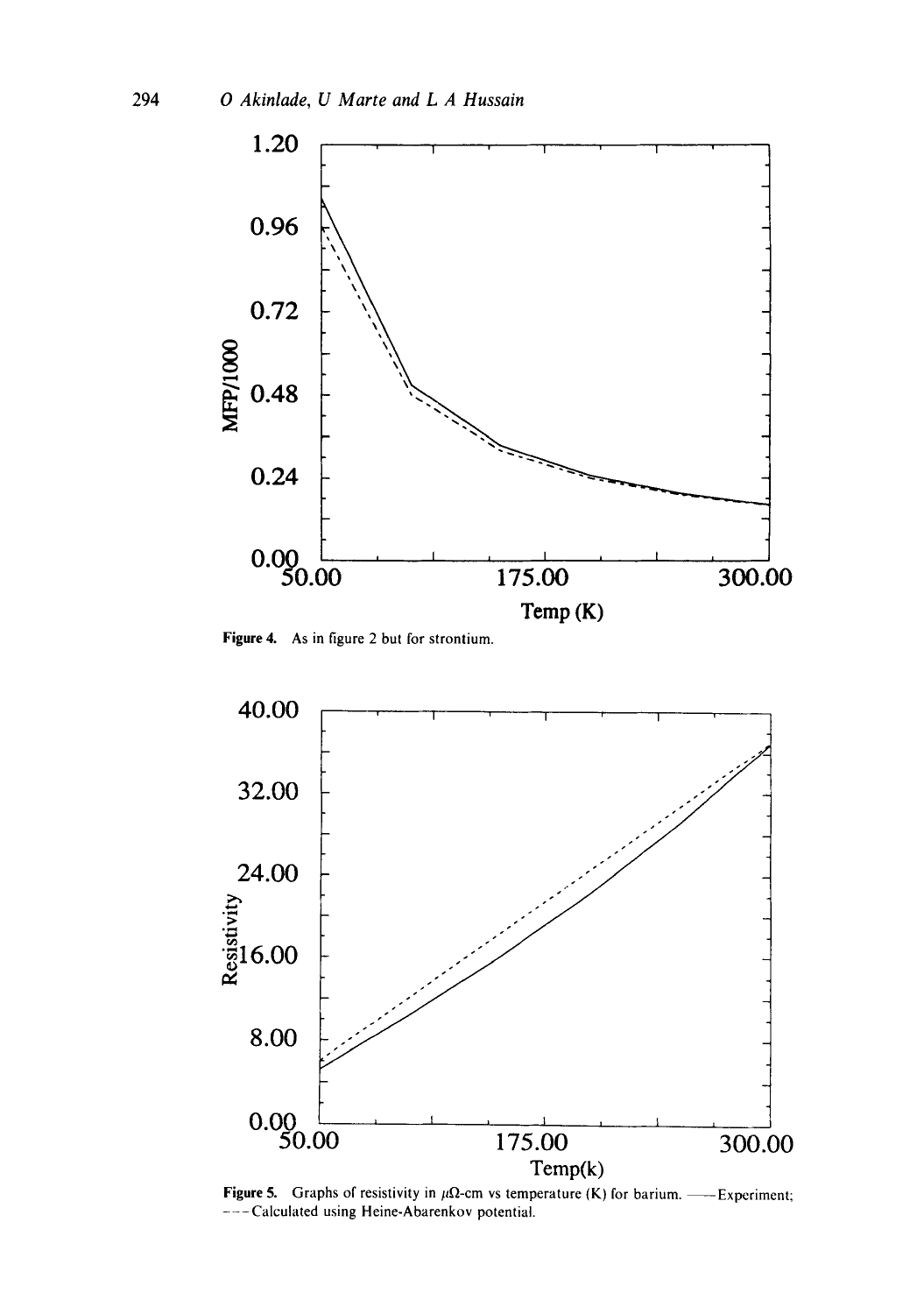

**Figure 4. As in figure 2 but for strontium.** 



**Figure 5.** Graphs of resistivity in  $\mu\Omega$ -cm vs temperature (K) for barium. — Experiment; **---Calculated using Heine-Abarenkov potential.**